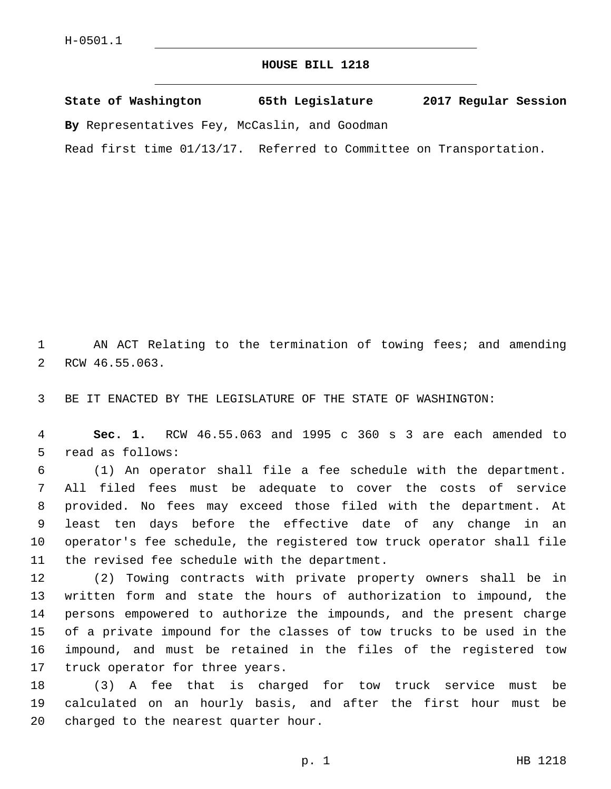## **HOUSE BILL 1218**

**State of Washington 65th Legislature 2017 Regular Session By** Representatives Fey, McCaslin, and Goodman

Read first time 01/13/17. Referred to Committee on Transportation.

1 AN ACT Relating to the termination of towing fees; and amending 2 RCW 46.55.063.

3 BE IT ENACTED BY THE LEGISLATURE OF THE STATE OF WASHINGTON:

4 **Sec. 1.** RCW 46.55.063 and 1995 c 360 s 3 are each amended to 5 read as follows:

 (1) An operator shall file a fee schedule with the department. All filed fees must be adequate to cover the costs of service provided. No fees may exceed those filed with the department. At least ten days before the effective date of any change in an operator's fee schedule, the registered tow truck operator shall file 11 the revised fee schedule with the department.

 (2) Towing contracts with private property owners shall be in written form and state the hours of authorization to impound, the persons empowered to authorize the impounds, and the present charge of a private impound for the classes of tow trucks to be used in the impound, and must be retained in the files of the registered tow 17 truck operator for three years.

18 (3) A fee that is charged for tow truck service must be 19 calculated on an hourly basis, and after the first hour must be 20 charged to the nearest quarter hour.